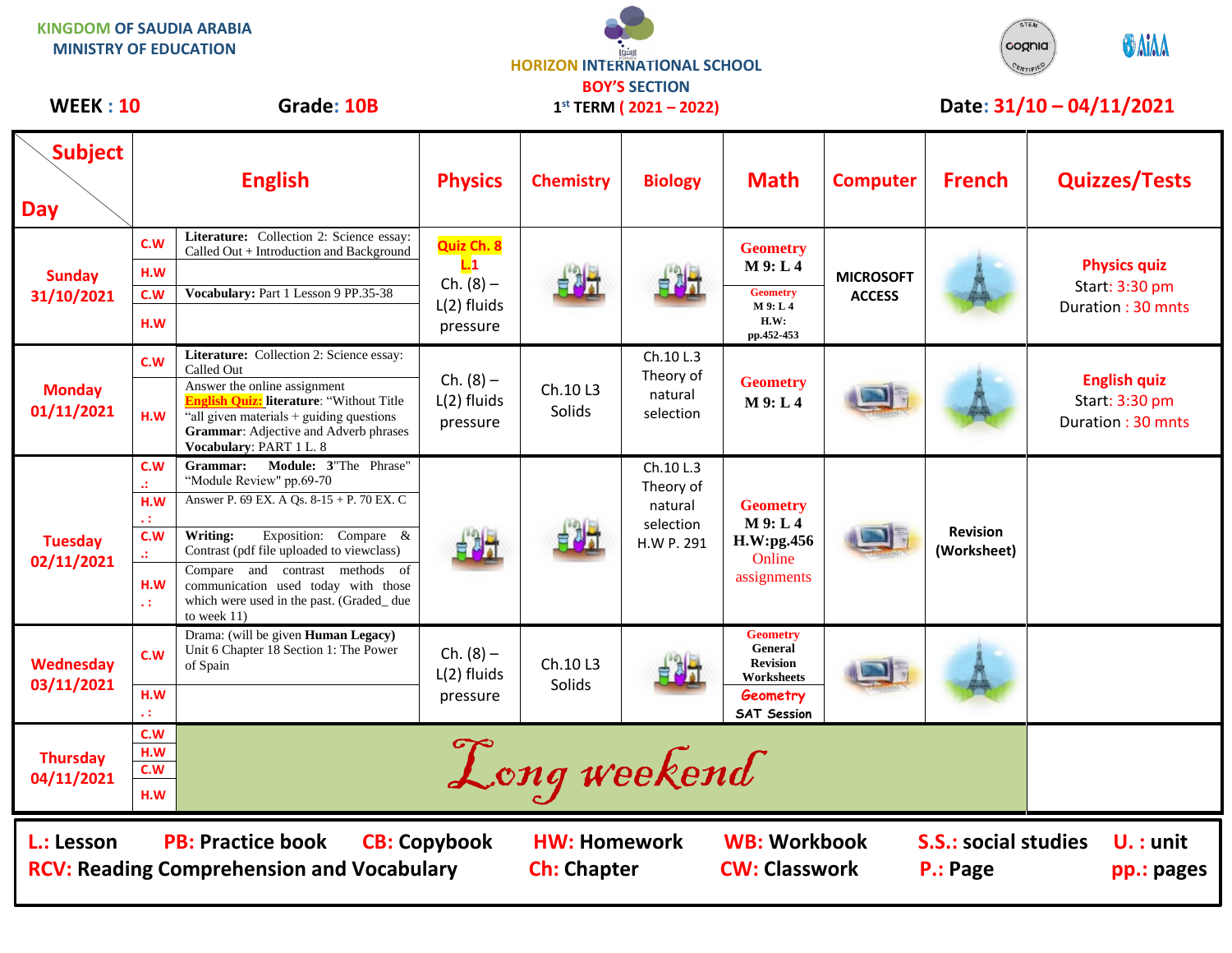| <b>KINGDOM OF SAUDIA ARABIA</b><br><b>MINISTRY OF EDUCATION</b> |                                                                                                     |                                                                                                                                                                                                                                                                                                                                   |                                          | <b>HORIZON INTERNATIONAL SCHOOL</b>                     |                                                              |                                                                                               |                                   | cognia<br>CERTIFIE             | <b>O</b> AIAA                                              |
|-----------------------------------------------------------------|-----------------------------------------------------------------------------------------------------|-----------------------------------------------------------------------------------------------------------------------------------------------------------------------------------------------------------------------------------------------------------------------------------------------------------------------------------|------------------------------------------|---------------------------------------------------------|--------------------------------------------------------------|-----------------------------------------------------------------------------------------------|-----------------------------------|--------------------------------|------------------------------------------------------------|
| <b>WEEK: 10</b>                                                 |                                                                                                     | Grade: 10B                                                                                                                                                                                                                                                                                                                        |                                          | <b>BOY'S SECTION</b><br>$1^{st}$ TERM ( $2021 - 2022$ ) |                                                              |                                                                                               | Date: 31/10 - 04/11/2021          |                                |                                                            |
| Subject<br><b>Day</b>                                           |                                                                                                     | <b>English</b>                                                                                                                                                                                                                                                                                                                    | <b>Physics</b>                           | <b>Chemistry</b>                                        | <b>Biology</b>                                               | <b>Math</b>                                                                                   | <b>Computer</b>                   | <b>French</b>                  | <b>Quizzes/Tests</b>                                       |
| <b>Sunday</b><br>31/10/2021                                     | C.W<br>H.W                                                                                          | Literature: Collection 2: Science essay:<br>Called Out + Introduction and Background                                                                                                                                                                                                                                              | Quiz Ch. 8<br>L.1                        |                                                         |                                                              | <b>Geometry</b><br>$M$ 9: L4                                                                  | <b>MICROSOFT</b><br><b>ACCESS</b> |                                | <b>Physics quiz</b><br>Start: 3:30 pm<br>Duration: 30 mnts |
|                                                                 | C.W<br>H.W                                                                                          | Vocabulary: Part 1 Lesson 9 PP.35-38                                                                                                                                                                                                                                                                                              | $Ch. (8) -$<br>$L(2)$ fluids<br>pressure | 自思式                                                     |                                                              | <b>Geometry</b><br>M 9: L 4<br>H.W:<br>pp.452-453                                             |                                   |                                |                                                            |
| <b>Monday</b><br>01/11/2021                                     | C.W<br>H.W                                                                                          | Literature: Collection 2: Science essay:<br>Called Out<br>Answer the online assignment<br><b>English Quiz:</b> literature: "Without Title<br>"all given materials + guiding questions"<br><b>Grammar:</b> Adjective and Adverb phrases<br>Vocabulary: PART 1 L. 8                                                                 | $Ch. (8) -$<br>L(2) fluids<br>pressure   | Ch.10 L3<br>Solids                                      | Ch.10 L.3<br>Theory of<br>natural<br>selection               | <b>Geometry</b><br>$M$ 9: L4                                                                  |                                   |                                | <b>English quiz</b><br>Start: 3:30 pm<br>Duration: 30 mnts |
| <b>Tuesday</b><br>02/11/2021                                    | C.W<br>a.<br>H.M<br>41<br>C.W<br>a.<br>H.W<br>41                                                    | Module: 3"The Phrase"<br>Grammar:<br>"Module Review" pp.69-70<br>Answer P. 69 EX. A Qs. 8-15 + P. 70 EX. C<br>Exposition: Compare &<br>Writing:<br>Contrast (pdf file uploaded to viewclass)<br>Compare and contrast methods of<br>communication used today with those<br>which were used in the past. (Graded_due<br>to week 11) | 自己才                                      |                                                         | Ch.10 L.3<br>Theory of<br>natural<br>selection<br>H.W P. 291 | <b>Geometry</b><br>$M$ 9: L4<br>H.W:pg.456<br>Online<br>assignments                           |                                   | <b>Revision</b><br>(Worksheet) |                                                            |
| Wednesday<br>03/11/2021                                         | c.w<br>H.W                                                                                          | Drama: (will be given Human Legacy)<br>Unit 6 Chapter 18 Section 1: The Power<br>of Spain                                                                                                                                                                                                                                         | $Ch. (8) -$<br>L(2) fluids<br>pressure   | Ch.10 L3<br>Solids                                      |                                                              | <b>Geometry</b><br>General<br><b>Revision</b><br>Worksheets<br>Geometry<br><b>SAT Session</b> |                                   |                                |                                                            |
| <b>Thursday</b><br>04/11/2021                                   | C.W<br>H.W<br>c.w<br>H.W                                                                            |                                                                                                                                                                                                                                                                                                                                   |                                          | Long weekend                                            |                                                              |                                                                                               |                                   |                                |                                                            |
| L.: Lesson                                                      | <b>PB: Practice book</b><br><b>CB: Copybook</b><br><b>RCV: Reading Comprehension and Vocabulary</b> | <b>HW: Homework</b><br><b>Ch: Chapter</b>                                                                                                                                                                                                                                                                                         |                                          | <b>WB: Workbook</b><br><b>CW: Classwork</b>             |                                                              | <b>S.S.: social studies</b><br>P.: Page                                                       | $U. :$ unit<br>pp.: pages         |                                |                                                            |